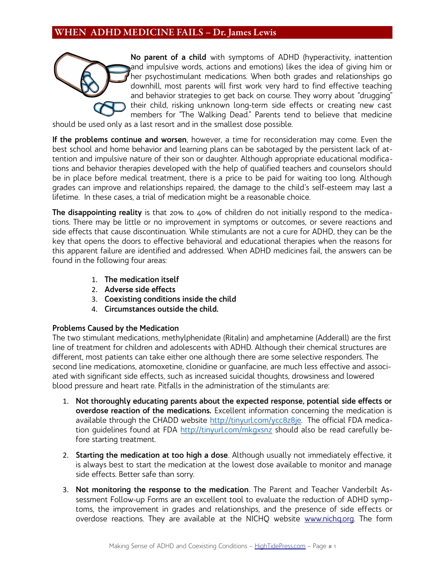

**No parent of a child** with symptoms of ADHD (hyperactivity, inattention and impulsive words, actions and emotions) likes the idea of giving him or her psychostimulant medications. When both grades and relationships go downhill, most parents will first work very hard to find effective teaching and behavior strategies to get back on course. They worry about "drugging" their child, risking unknown long-term side effects or creating new cast members for "The Walking Dead." Parents tend to believe that medicine

should be used only as a last resort and in the smallest dose possible.

**If the problems continue and worsen**, however, a time for reconsideration may come. Even the best school and home behavior and learning plans can be sabotaged by the persistent lack of attention and impulsive nature of their son or daughter. Although appropriate educational modifications and behavior therapies developed with the help of qualified teachers and counselors should be in place before medical treatment, there is a price to be paid for waiting too long. Although grades can improve and relationships repaired, the damage to the child's self-esteem may last a lifetime. In these cases, a trial of medication might be a reasonable choice.

**The disappointing reality** is that 20% to 40% of children do not initially respond to the medications. There may be little or no improvement in symptoms or outcomes, or severe reactions and side effects that cause discontinuation. While stimulants are not a cure for ADHD, they can be the key that opens the doors to effective behavioral and educational therapies when the reasons for this apparent failure are identified and addressed. When ADHD medicines fail, the answers can be found in the following four areas:

- 1. **The medication itself**
- 2. **Adverse side effects**
- 3. **Coexisting conditions inside the child**
- 4. **Circumstances outside the child.**

### **Problems Caused by the Medication**

The two stimulant medications, methylphenidate (Ritalin) and amphetamine (Adderall) are the first line of treatment for children and adolescents with ADHD. Although their chemical structures are different, most patients can take either one although there are some selective responders. The second line medications, atomoxetine, clonidine or guanfacine, are much less effective and associated with significant side effects, such as increased suicidal thoughts, drowsiness and lowered blood pressure and heart rate. Pitfalls in the administration of the stimulants are:

- 1. **Not thoroughly educating parents about the expected response, potential side effects or overdose reaction of the medications.** Excellent information concerning the medication is available through the CHADD website http://tinyurl.com/ycc8z8je. The official FDA medication quidelines found at FDA http://tinyurl.com/mkgxsnz should also be read carefully before starting treatment.
- 2. **Starting the medication at too high a dose**. Although usually not immediately effective, it is always best to start the medication at the lowest dose available to monitor and manage side effects. Better safe than sorry.
- 3. **Not monitoring the response to the medication**. The Parent and Teacher Vanderbilt Assessment Follow-up Forms are an excellent tool to evaluate the reduction of ADHD symptoms, the improvement in grades and relationships, and the presence of side effects or overdose reactions. They are available at the NICHQ website [www.nichq.org.](http://www.nichq.org/) The form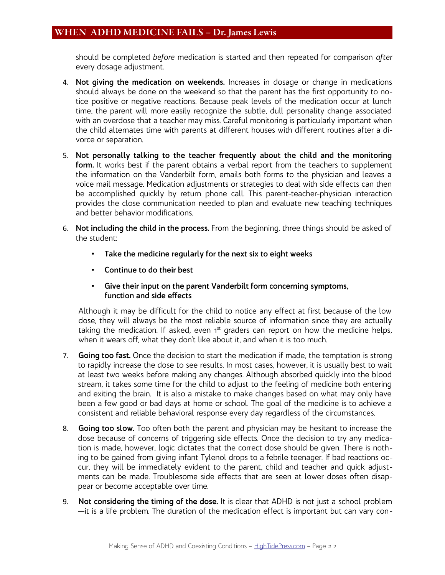should be completed *before* medication is started and then repeated for comparison *after* every dosage adjustment.

- 4. **Not giving the medication on weekends.** Increases in dosage or change in medications should always be done on the weekend so that the parent has the first opportunity to notice positive or negative reactions. Because peak levels of the medication occur at lunch time, the parent will more easily recognize the subtle, dull personality change associated with an overdose that a teacher may miss. Careful monitoring is particularly important when the child alternates time with parents at different houses with different routines after a divorce or separation.
- 5. **Not personally talking to the teacher frequently about the child and the monitoring form.** It works best if the parent obtains a verbal report from the teachers to supplement the information on the Vanderbilt form, emails both forms to the physician and leaves a voice mail message. Medication adjustments or strategies to deal with side effects can then be accomplished quickly by return phone call. This parent-teacher-physician interaction provides the close communication needed to plan and evaluate new teaching techniques and better behavior modifications.
- 6. **Not including the child in the process.** From the beginning, three things should be asked of the student:
	- **Take the medicine regularly for the next six to eight weeks**
	- **Continue to do their best**
	- **Give their input on the parent Vanderbilt form concerning symptoms, function and side effects**

Although it may be difficult for the child to notice any effect at first because of the low dose, they will always be the most reliable source of information since they are actually taking the medication. If asked, even  $1<sup>st</sup>$  graders can report on how the medicine helps, when it wears off, what they don't like about it, and when it is too much.

- 7. **Going too fast.** Once the decision to start the medication if made, the temptation is strong to rapidly increase the dose to see results. In most cases, however, it is usually best to wait at least two weeks before making any changes. Although absorbed quickly into the blood stream, it takes some time for the child to adjust to the feeling of medicine both entering and exiting the brain. It is also a mistake to make changes based on what may only have been a few good or bad days at home or school. The goal of the medicine is to achieve a consistent and reliable behavioral response every day regardless of the circumstances.
- 8. **Going too slow.** Too often both the parent and physician may be hesitant to increase the dose because of concerns of triggering side effects. Once the decision to try any medication is made, however, logic dictates that the correct dose should be given. There is nothing to be gained from giving infant Tylenol drops to a febrile teenager. If bad reactions occur, they will be immediately evident to the parent, child and teacher and quick adjustments can be made. Troublesome side effects that are seen at lower doses often disappear or become acceptable over time.
- 9. **Not considering the timing of the dose.** It is clear that ADHD is not just a school problem —it is a life problem. The duration of the medication effect is important but can vary con-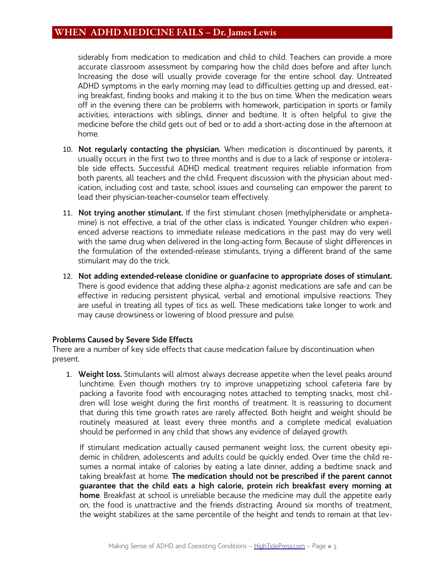siderably from medication to medication and child to child. Teachers can provide a more accurate classroom assessment by comparing how the child does before and after lunch. Increasing the dose will usually provide coverage for the entire school day. Untreated ADHD symptoms in the early morning may lead to difficulties getting up and dressed, eating breakfast, finding books and making it to the bus on time. When the medication wears off in the evening there can be problems with homework, participation in sports or family activities, interactions with siblings, dinner and bedtime. It is often helpful to give the medicine before the child gets out of bed or to add a short-acting dose in the afternoon at home.

- 10. **Not regularly contacting the physician.** When medication is discontinued by parents, it usually occurs in the first two to three months and is due to a lack of response or intolerable side effects. Successful ADHD medical treatment requires reliable information from both parents, all teachers and the child. Frequent discussion with the physician about medication, including cost and taste, school issues and counseling can empower the parent to lead their physician-teacher-counselor team effectively.
- 11. **Not trying another stimulant.** If the first stimulant chosen (methylphenidate or amphetamine) is not effective, a trial of the other class is indicated. Younger children who experienced adverse reactions to immediate release medications in the past may do very well with the same drug when delivered in the long-acting form. Because of slight differences in the formulation of the extended-release stimulants, trying a different brand of the same stimulant may do the trick.
- 12. **Not adding extended-release clonidine or guanfacine to appropriate doses of stimulant.** There is good evidence that adding these alpha-2 agonist medications are safe and can be effective in reducing persistent physical, verbal and emotional impulsive reactions. They are useful in treating all types of tics as well. These medications take longer to work and may cause drowsiness or lowering of blood pressure and pulse.

#### **Problems Caused by Severe Side Effects**

There are a number of key side effects that cause medication failure by discontinuation when present.

1. **Weight loss.** Stimulants will almost always decrease appetite when the level peaks around lunchtime. Even though mothers try to improve unappetizing school cafeteria fare by packing a favorite food with encouraging notes attached to tempting snacks, most children will lose weight during the first months of treatment. It is reassuring to document that during this time growth rates are rarely affected. Both height and weight should be routinely measured at least every three months and a complete medical evaluation should be performed in any child that shows any evidence of delayed growth.

If stimulant medication actually caused permanent weight loss, the current obesity epidemic in children, adolescents and adults could be quickly ended. Over time the child resumes a normal intake of calories by eating a late dinner, adding a bedtime snack and taking breakfast at home. **The medication should not be prescribed if the parent cannot guarantee that the child eats a high calorie, protein rich breakfast every morning at home**. Breakfast at school is unreliable because the medicine may dull the appetite early on, the food is unattractive and the friends distracting. Around six months of treatment, the weight stabilizes at the same percentile of the height and tends to remain at that lev-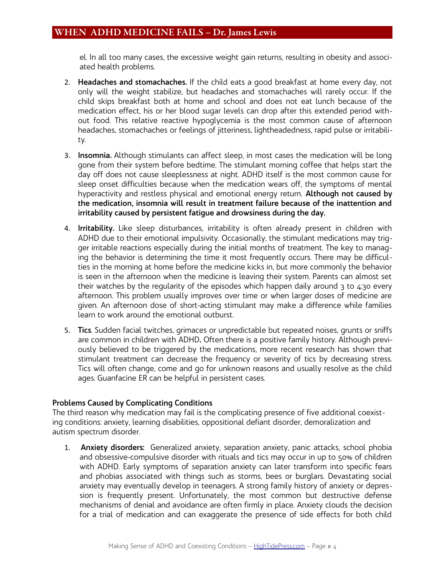el. In all too many cases, the excessive weight gain returns, resulting in obesity and associated health problems.

- 2. **Headaches and stomachaches.** If the child eats a good breakfast at home every day, not only will the weight stabilize, but headaches and stomachaches will rarely occur. If the child skips breakfast both at home and school and does not eat lunch because of the medication effect, his or her blood sugar levels can drop after this extended period without food. This relative reactive hypoglycemia is the most common cause of afternoon headaches, stomachaches or feelings of jitteriness, lightheadedness, rapid pulse or irritability.
- 3. **Insomnia.** Although stimulants can affect sleep, in most cases the medication will be long gone from their system before bedtime. The stimulant morning coffee that helps start the day off does not cause sleeplessness at night. ADHD itself is the most common cause for sleep onset difficulties because when the medication wears off, the symptoms of mental hyperactivity and restless physical and emotional energy return. **Although not caused by the medication, insomnia will result in treatment failure because of the inattention and irritability caused by persistent fatigue and drowsiness during the day.**
- 4. **Irritability.** Like sleep disturbances, irritability is often already present in children with ADHD due to their emotional impulsivity. Occasionally, the stimulant medications may trigger irritable reactions especially during the initial months of treatment. The key to managing the behavior is determining the time it most frequently occurs. There may be difficulties in the morning at home before the medicine kicks in, but more commonly the behavior is seen in the afternoon when the medicine is leaving their system. Parents can almost set their watches by the regularity of the episodes which happen daily around  $\frac{1}{3}$  to  $\frac{1}{3}$  every afternoon. This problem usually improves over time or when larger doses of medicine are given. An afternoon dose of short-acting stimulant may make a difference while families learn to work around the emotional outburst.
- 5. **Tics**. Sudden facial twitches, grimaces or unpredictable but repeated noises, grunts or sniffs are common in children with ADHD**.** Often there is a positive family history. Although previously believed to be triggered by the medications, more recent research has shown that stimulant treatment can decrease the frequency or severity of tics by decreasing stress. Tics will often change, come and go for unknown reasons and usually resolve as the child ages. Guanfacine ER can be helpful in persistent cases.

#### **Problems Caused by Complicating Conditions**

The third reason why medication may fail is the complicating presence of five additional coexisting conditions: anxiety, learning disabilities, oppositional defiant disorder, demoralization and autism spectrum disorder.

1. **Anxiety disorders:** Generalized anxiety, separation anxiety, panic attacks, school phobia and obsessive-compulsive disorder with rituals and tics may occur in up to 50% of children with ADHD. Early symptoms of separation anxiety can later transform into specific fears and phobias associated with things such as storms, bees or burglars. Devastating social anxiety may eventually develop in teenagers. A strong family history of anxiety or depression is frequently present. Unfortunately, the most common but destructive defense mechanisms of denial and avoidance are often firmly in place. Anxiety clouds the decision for a trial of medication and can exaggerate the presence of side effects for both child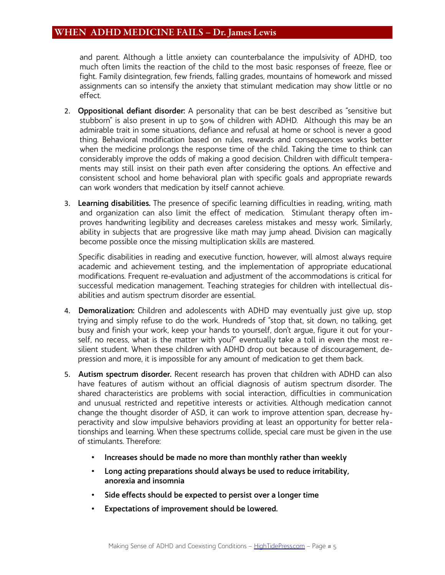and parent. Although a little anxiety can counterbalance the impulsivity of ADHD, too much often limits the reaction of the child to the most basic responses of freeze, flee or fight. Family disintegration, few friends, falling grades, mountains of homework and missed assignments can so intensify the anxiety that stimulant medication may show little or no effect.

- 2. **Oppositional defiant disorder:** A personality that can be best described as "sensitive but stubborn" is also present in up to 50% of children with ADHD. Although this may be an admirable trait in some situations, defiance and refusal at home or school is never a good thing. Behavioral modification based on rules, rewards and consequences works better when the medicine prolongs the response time of the child. Taking the time to think can considerably improve the odds of making a good decision. Children with difficult temperaments may still insist on their path even after considering the options. An effective and consistent school and home behavioral plan with specific goals and appropriate rewards can work wonders that medication by itself cannot achieve.
- 3. **Learning disabilities.** The presence of specific learning difficulties in reading, writing, math and organization can also limit the effect of medication. Stimulant therapy often improves handwriting legibility and decreases careless mistakes and messy work. Similarly, ability in subjects that are progressive like math may jump ahead. Division can magically become possible once the missing multiplication skills are mastered.

Specific disabilities in reading and executive function, however, will almost always require academic and achievement testing, and the implementation of appropriate educational modifications. Frequent re-evaluation and adjustment of the accommodations is critical for successful medication management. Teaching strategies for children with intellectual disabilities and autism spectrum disorder are essential.

- 4. **Demoralization:** Children and adolescents with ADHD may eventually just give up, stop trying and simply refuse to do the work. Hundreds of "stop that, sit down, no talking, get busy and finish your work, keep your hands to yourself, don't argue, figure it out for yourself, no recess, what is the matter with you?" eventually take a toll in even the most resilient student. When these children with ADHD drop out because of discouragement, depression and more, it is impossible for any amount of medication to get them back.
- 5. **Autism spectrum disorder.** Recent research has proven that children with ADHD can also have features of autism without an official diagnosis of autism spectrum disorder. The shared characteristics are problems with social interaction, difficulties in communication and unusual restricted and repetitive interests or activities. Although medication cannot change the thought disorder of ASD, it can work to improve attention span, decrease hyperactivity and slow impulsive behaviors providing at least an opportunity for better relationships and learning. When these spectrums collide, special care must be given in the use of stimulants. Therefore:
	- **Increases should be made no more than monthly rather than weekly**
	- **Long acting preparations should always be used to reduce irritability, anorexia and insomnia**
	- **Side effects should be expected to persist over a longer time**
	- **Expectations of improvement should be lowered.**